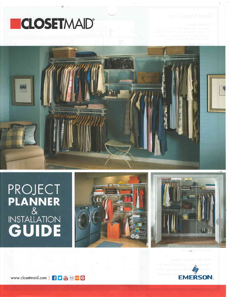# **ECLOSETMAID®**



# PROJECT<br>PLANNER<br>NSTALLATION<br>**GUIDE**



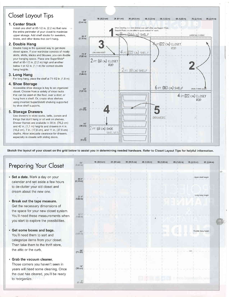## Closet Loyout Tips

#### 1. Center Stack

Install one shelf at  $85-1/2$  in.  $(2,2 \text{ m})$  that runs 20b the entire perimeter of your closet to maximize upper storage Add shelf stacks for sweaters, linens, and other items that don't hang.

#### 2. Double Hang

Double hang is the quickest way to get more closet space lf your wardrobe consists of moslly skirts, shirts, slacks and blouses, you can double your hanging space. Place one SuperSlide<sup>®</sup> shelf at  $85-1/2$  in  $(2,2, m)$  high and another below it at 42 in. (1,1 m) for correct double hang heights.

#### 3. Long Hang

For long hang, place the shelf at 71-1/2 in. (1,8 m).

#### 4. Shoe Storage

Accessible shoe storage is key to an organized closel. Choose from a variety of shoe racks that can be used on the floor, over a door, or hung from a shelf. Or, create shoe shelves using inverted SuperSlide® shelving supported by shoe shelf supports

#### 5. Storage Drawers

Use drawers to store socks, belts, purses and things that don't hang or sit well on shelves Drawer frames are available in 30 in (76,2 cm) and 42 in. (1,1 m) heights and drawers in 4 in. (10,2 cm), 7 in. (17,8 cm), and 11 in (27,9 cm) depths. Allow adequate clearance for drawers, especially in closets with sliding doors



Sketch the layout of your closet on the grid below to assist you in determining needed hardware. Refer to Closet Layout Tips for helpful information.

| Preparing Your Closet                                                                                                                                           | 96<br>$(2.44 \text{ m})$                     | 1ft (30,5 cm) | 2ft (61 cm) | 3ft (91,5 cm) | 4ft (1,22 m) | 5ft. (1,52 m) | 6ft. (1,83 m) | 7ft (2,13 m)<br>8ft (2,44 m) | 中 |
|-----------------------------------------------------------------------------------------------------------------------------------------------------------------|----------------------------------------------|---------------|-------------|---------------|--------------|---------------|---------------|------------------------------|---|
| Set a date. Mark a day on your<br>calendar and set aside a few hours<br>to de-clutter your old closet and<br>dream about the new one.                           | $85 \frac{\gamma}{2}$<br>$(2, 18 \text{ m})$ |               |             |               |              |               |               | Upper shelf height           |   |
| Break out the tape measure.<br>Get the necessary dimensions of                                                                                                  | $71*$<br>$(1,82 \text{ m})$                  |               |             |               |              |               |               | Long hang height             |   |
| the space for your new closet system.<br>You'll need these measurements when<br>you start to explore the possibilities.                                         | 57 1<br>(1.46 m)                             |               |             |               |              |               |               |                              |   |
| Get some boxes and bags.<br>You'll need them to sort and<br>categorize items from your closet.<br>Then take them to the thrift store,                           | $42^{\circ}$<br>$(1.07 \text{ m})$           |               |             |               |              |               |               | Double hang height           |   |
| the attic or the curb.                                                                                                                                          | $(71 \frac{28}{cm})$                         |               |             |               |              |               |               |                              |   |
| Grab the vacuum cleaner.<br>Those corners you haven't seen in<br>years will need some cleaning. Once<br>the dust has cleared, you'll be ready<br>to reorganize. | 14"<br>$(36 \text{ cm})$<br>$(0 \text{ cm})$ |               |             |               |              |               |               |                              |   |
|                                                                                                                                                                 |                                              |               |             |               |              |               |               |                              |   |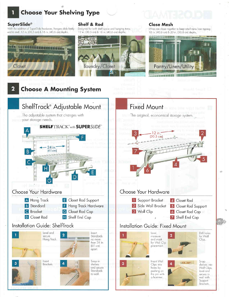### **Choose Your Shelving Type**

#### **SuperSlide®**

Closet

With the addition of SuperSlide hardware, hangers slide freely end to end. 12 in. (30,5 cm) & 16 in. (40,6 cm) depths.

#### **Shelf & Rod**

Designed for both shelf space and hanging items. 12 in. (30,5 cm) & 16 in. (40,6 cm) depths.



#### **Close Mesh**

Wires are closer together to keep small items from tipping. 16 in (40,6 cm) & 20 in (50,8 cm) depths.







T. W

Support Brackets,